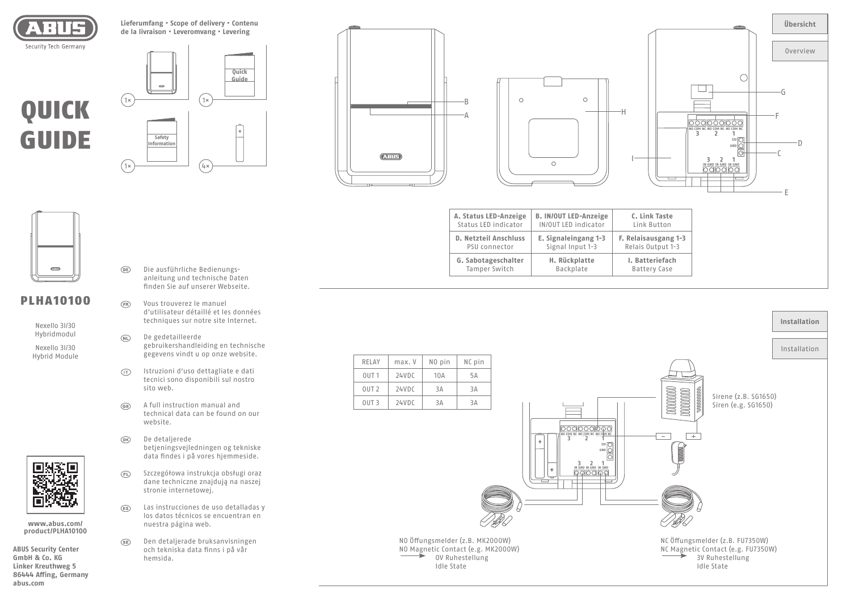

**Lieferumfang • Scope of delivery • Contenu de la livraison • Leveromvang • Levering**

# QUICK GUIDE







**E. Signaleingang 1-3** Signal Input 1-3

> **H. Rückplatte** Backplate

**A. Status LED-Anzeige** Status LED indicator

**D. Netzteil Anschluss** PSU connector

**G. Sabotageschalter**  Tamper Switch



| (23.112) |  |
|----------|--|
|          |  |

# PLHA10100

Nexello 3I/3O Hybridmodul

Nexello 3I/3O Hybrid Module



**www.abus.com/ product/PLHA10100**

**ABUS Security Center GmbH & Co. KG Linker Kreuthweg 5 86444 Affing, Germany abus.com**

- Die ausführliche Bedienungsanleitung und technische Daten finden Sie auf unserer Webseite.
- Vous trouverez le manuel d'utilisateur détaillé et les données techniques sur notre site Internet.
- De gedetailleerde gebruikershandleiding en technische gegevens vindt u op onze website.
- Istruzioni d'uso dettagliate e dati tecnici sono disponibili sul nostro sito web.
- A full instruction manual and technical data can be found on our website.
- De detaljerede betjeningsvejledningen og tekniske data findes i på vores hjemmeside.
- Szczegółowa instrukcja obsługi oraz  $(PL)$ dane techniczne znajdują na naszej stronie internetowej.
- Las instrucciones de uso detalladas y los datos técnicos se encuentran en nuestra página web.
- Den detaljerade bruksanvisningen och tekniska data finns i på vår hemsida.

| RFI AY           | max. V | NO pin | NC pin |  |  |
|------------------|--------|--------|--------|--|--|
| OUT <sub>1</sub> | 24VDC  | 10A    | 5A     |  |  |
| OUT <sub>2</sub> | 24VDC  | 3A     | 3A     |  |  |
| OUT <sub>3</sub> | 24VDC  | RΡ     | Rξ     |  |  |

OV Ruhestellung Idle State



**F. Relaisausgang 1-3** Relais Output 1-3

> **I. Batteriefach** Battery Case